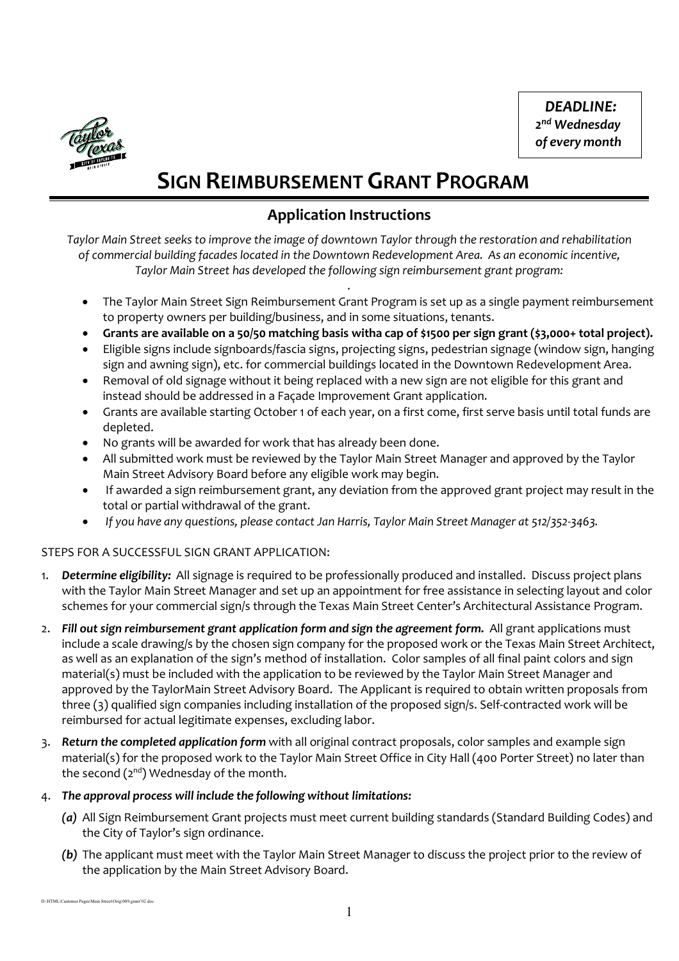*DEADLINE: 2nd Wednesday of every month*



# **SIGN REIMBURSEMENT GRANT PROGRAM**

### **Application Instructions**

*Taylor Main Street seeks to improve the image of downtown Taylor through the restoration and rehabilitation of commercial building facades located in the Downtown Redevelopment Area. As an economic incentive, Taylor Main Street has developed the following sign reimbursement grant program:*

*.*

- The Taylor Main Street Sign Reimbursement Grant Program is set up as a single payment reimbursement to property owners per building/business, and in some situations, tenants.
- **Grants are available on a 50/50 matching basis witha cap of \$1500 per sign grant (\$3,000+ total project).**
- Eligible signs include signboards/fascia signs, projecting signs, pedestrian signage (window sign, hanging sign and awning sign), etc. for commercial buildings located in the Downtown Redevelopment Area.
- Removal of old signage without it being replaced with a new sign are not eligible for this grant and instead should be addressed in a Façade Improvement Grant application.
- Grants are available starting October 1 of each year, on a first come, first serve basis until total funds are depleted.
- No grants will be awarded for work that has already been done.
- All submitted work must be reviewed by the Taylor Main Street Manager and approved by the Taylor Main Street Advisory Board before any eligible work may begin.
- If awarded a sign reimbursement grant, any deviation from the approved grant project may result in the total or partial withdrawal of the grant.
- *If you have any questions, please contact Jan Harris, Taylor Main Street Manager at 512/352-3463.*

#### STEPS FOR A SUCCESSFUL SIGN GRANT APPLICATION:

- 1. *Determine eligibility:* All signage is required to be professionally produced and installed. Discuss project plans with the Taylor Main Street Manager and set up an appointment for free assistance in selecting layout and color schemes for your commercial sign/s through the Texas Main Street Center's Architectural Assistance Program.
- 2. Fill out sign reimbursement grant application form and sign the agreement form. All grant applications must include a scale drawing/s by the chosen sign company for the proposed work or the Texas Main Street Architect, as well as an explanation of the sign's method of installation. Color samples of all final paint colors and sign material(s) must be included with the application to be reviewed by the Taylor Main Street Manager and approved by the TaylorMain Street Advisory Board. The Applicant is required to obtain written proposals from three (3) qualified sign companies including installation of the proposed sign/s. Self-contracted work will be reimbursed for actual legitimate expenses, excluding labor.
- 3. *Return the completed application form* with all original contract proposals, color samples and example sign material(s) for the proposed work to the Taylor Main Street Office in City Hall (400 Porter Street) no later than the second  $(2^{nd})$  Wednesday of the month.

#### 4. *The approval process will include the following without limitations:*

- *(a)* All Sign Reimbursement Grant projects must meet current building standards (Standard Building Codes) and the City of Taylor's sign ordinance.
- *(b)* The applicant must meet with the Taylor Main Street Manager to discuss the project prior to the review of the application by the Main Street Advisory Board.

D:\HTML\Customer Pages\Main Street\Orig\009.grant'02.doc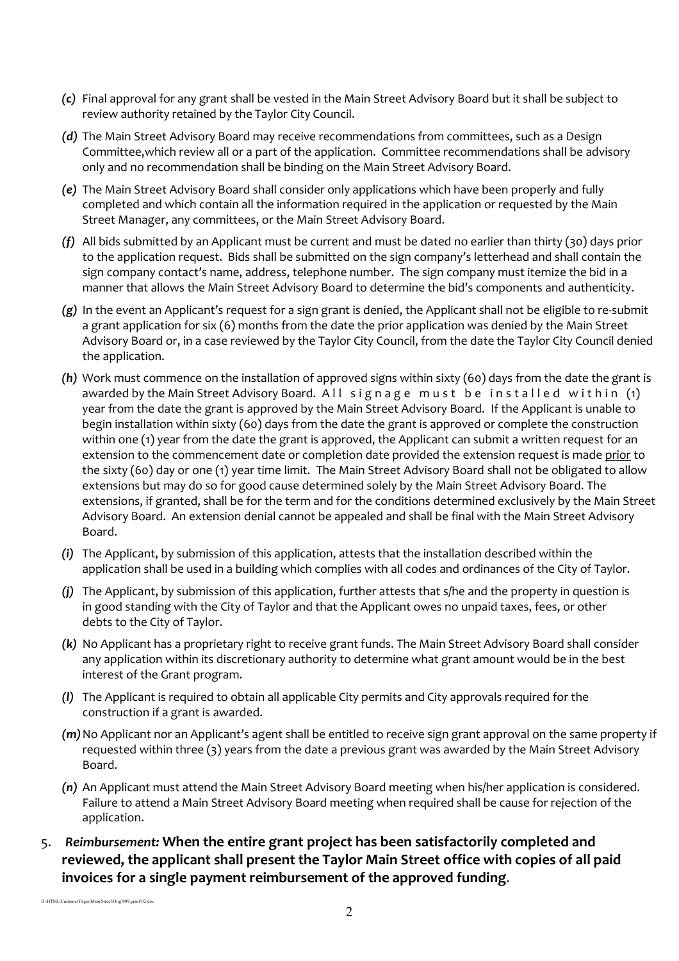- *(c)* Final approval for any grant shall be vested in the Main Street Advisory Board but it shall be subject to review authority retained by the Taylor City Council.
- *(d)* The Main Street Advisory Board may receive recommendations from committees, such as a Design Committee,which review all or a part of the application. Committee recommendations shall be advisory only and no recommendation shall be binding on the Main Street Advisory Board.
- *(e)* The Main Street Advisory Board shall consider only applications which have been properly and fully completed and which contain all the information required in the application or requested by the Main Street Manager, any committees, or the Main Street Advisory Board.
- *(f)* All bids submitted by an Applicant must be current and must be dated no earlier than thirty (30) days prior to the application request. Bids shall be submitted on the sign company's letterhead and shall contain the sign company contact's name, address, telephone number. The sign company must itemize the bid in a manner that allows the Main Street Advisory Board to determine the bid's components and authenticity.
- *(g)* In the event an Applicant's request for a sign grant is denied, the Applicant shall not be eligible to re-submit a grant application for six (6) months from the date the prior application was denied by the Main Street Advisory Board or, in a case reviewed by the Taylor City Council, from the date the Taylor City Council denied the application.
- *(h)* Work must commence on the installation of approved signs within sixty (60) days from the date the grant is awarded by the Main Street Advisory Board. All signage must be installed within (1) year from the date the grant is approved by the Main Street Advisory Board. If the Applicant is unable to begin installation within sixty (60) days from the date the grant is approved or complete the construction within one (1) year from the date the grant is approved, the Applicant can submit a written request for an extension to the commencement date or completion date provided the extension request is made prior to the sixty (60) day or one (1) year time limit. The Main Street Advisory Board shall not be obligated to allow extensions but may do so for good cause determined solely by the Main Street Advisory Board. The extensions, if granted, shall be for the term and for the conditions determined exclusively by the Main Street Advisory Board. An extension denial cannot be appealed and shall be final with the Main Street Advisory Board.
- *(i)* The Applicant, by submission of this application, attests that the installation described within the application shall be used in a building which complies with all codes and ordinances of the City of Taylor.
- *(j)* The Applicant, by submission of this application, further attests that s/he and the property in question is in good standing with the City of Taylor and that the Applicant owes no unpaid taxes, fees, or other debts to the City of Taylor.
- *(k)* No Applicant has a proprietary right to receive grant funds. The Main Street Advisory Board shall consider any application within its discretionary authority to determine what grant amount would be in the best interest of the Grant program.
- *(l)* The Applicant is required to obtain all applicable City permits and City approvals required for the construction if a grant is awarded.
- *(m)*No Applicant nor an Applicant's agent shall be entitled to receive sign grant approval on the same property if requested within three (3) years from the date a previous grant was awarded by the Main Street Advisory Board.
- *(n)* An Applicant must attend the Main Street Advisory Board meeting when his/her application is considered. Failure to attend a Main Street Advisory Board meeting when required shall be cause for rejection of the application.
- 5. *Reimbursement:* **When the entire grant project has been satisfactorily completed and reviewed, the applicant shall present the Taylor Main Street office with copies of all paid invoices for a single payment reimbursement of the approved funding**.

D:\HTML\Customer Pages\Main Street\Orig\009.grant'02.doc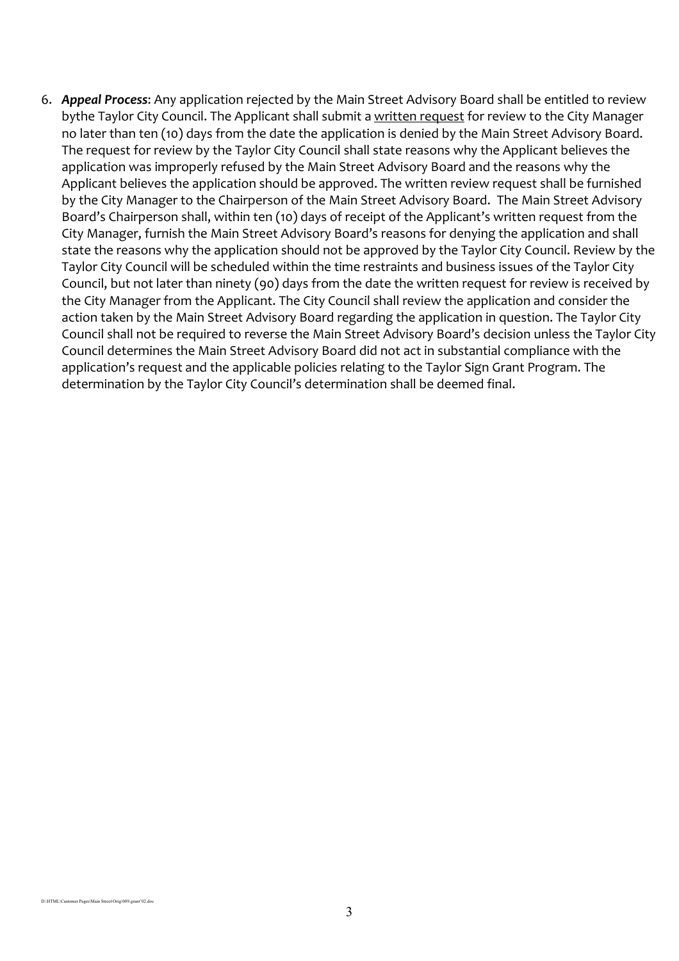6. *Appeal Process*: Any application rejected by the Main Street Advisory Board shall be entitled to review bythe Taylor City Council. The Applicant shall submit a written request for review to the City Manager no later than ten (10) days from the date the application is denied by the Main Street Advisory Board. The request for review by the Taylor City Council shall state reasons why the Applicant believes the application was improperly refused by the Main Street Advisory Board and the reasons why the Applicant believes the application should be approved. The written review request shall be furnished by the City Manager to the Chairperson of the Main Street Advisory Board. The Main Street Advisory Board's Chairperson shall, within ten (10) days of receipt of the Applicant's written request from the City Manager, furnish the Main Street Advisory Board's reasons for denying the application and shall state the reasons why the application should not be approved by the Taylor City Council. Review by the Taylor City Council will be scheduled within the time restraints and business issues of the Taylor City Council, but not later than ninety (90) days from the date the written request for review is received by the City Manager from the Applicant. The City Council shall review the application and consider the action taken by the Main Street Advisory Board regarding the application in question. The Taylor City Council shall not be required to reverse the Main Street Advisory Board's decision unless the Taylor City Council determines the Main Street Advisory Board did not act in substantial compliance with the application's request and the applicable policies relating to the Taylor Sign Grant Program. The determination by the Taylor City Council's determination shall be deemed final.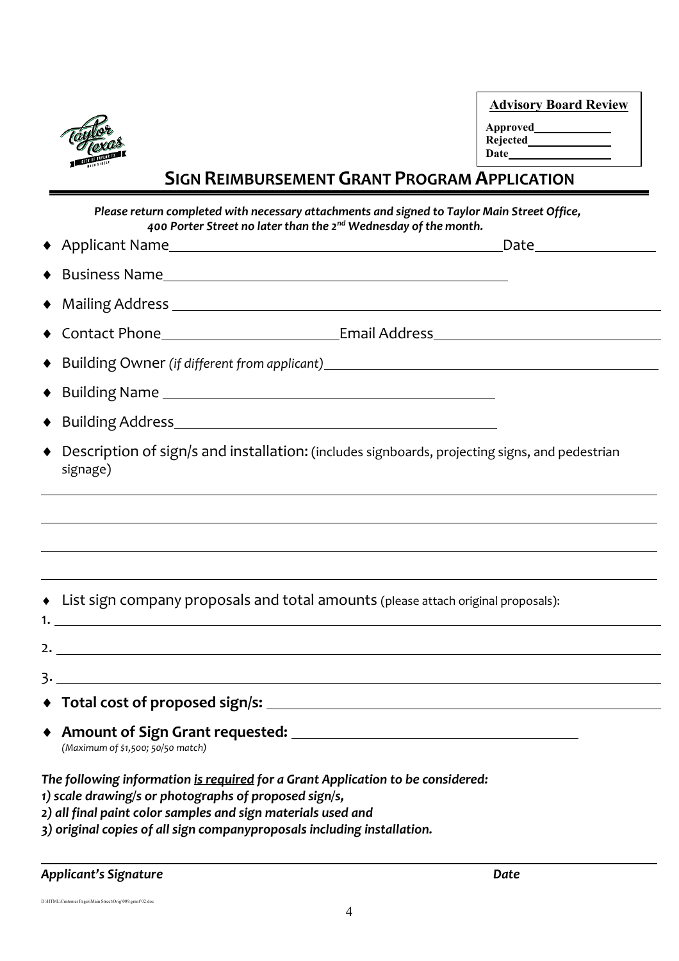

| <b>Advisory Board Review</b> |  |
|------------------------------|--|
| <b>Approved</b>              |  |
| Rejected                     |  |
| Date                         |  |
|                              |  |

## **SIGN REIMBURSEMENT GRANT PROGRAM APPLICATION**

*Please return completed with necessary attachments and signed to Taylor Main Street Office, 400 Porter Street no later than the 2nd Wednesday of the month.*

| ♦                                                                                                                                                                                                        |                                                                                                |
|----------------------------------------------------------------------------------------------------------------------------------------------------------------------------------------------------------|------------------------------------------------------------------------------------------------|
|                                                                                                                                                                                                          |                                                                                                |
|                                                                                                                                                                                                          |                                                                                                |
|                                                                                                                                                                                                          | ◆ Building Owner (if different from applicant)__________________________________               |
|                                                                                                                                                                                                          |                                                                                                |
|                                                                                                                                                                                                          |                                                                                                |
| $\blacklozenge$<br>signage)                                                                                                                                                                              | Description of sign/s and installation: (includes signboards, projecting signs, and pedestrian |
|                                                                                                                                                                                                          |                                                                                                |
|                                                                                                                                                                                                          |                                                                                                |
|                                                                                                                                                                                                          |                                                                                                |
| • List sign company proposals and total amounts (please attach original proposals):                                                                                                                      |                                                                                                |
|                                                                                                                                                                                                          |                                                                                                |
|                                                                                                                                                                                                          |                                                                                                |
|                                                                                                                                                                                                          |                                                                                                |
| (Maximum of \$1,500; 50/50 match)                                                                                                                                                                        |                                                                                                |
| The following information is required for a Grant Application to be considered:<br>1) scale drawing/s or photographs of proposed sign/s,<br>2) all final paint color samples and sign materials used and |                                                                                                |

*3) original copies of all sign companyproposals including installation.*